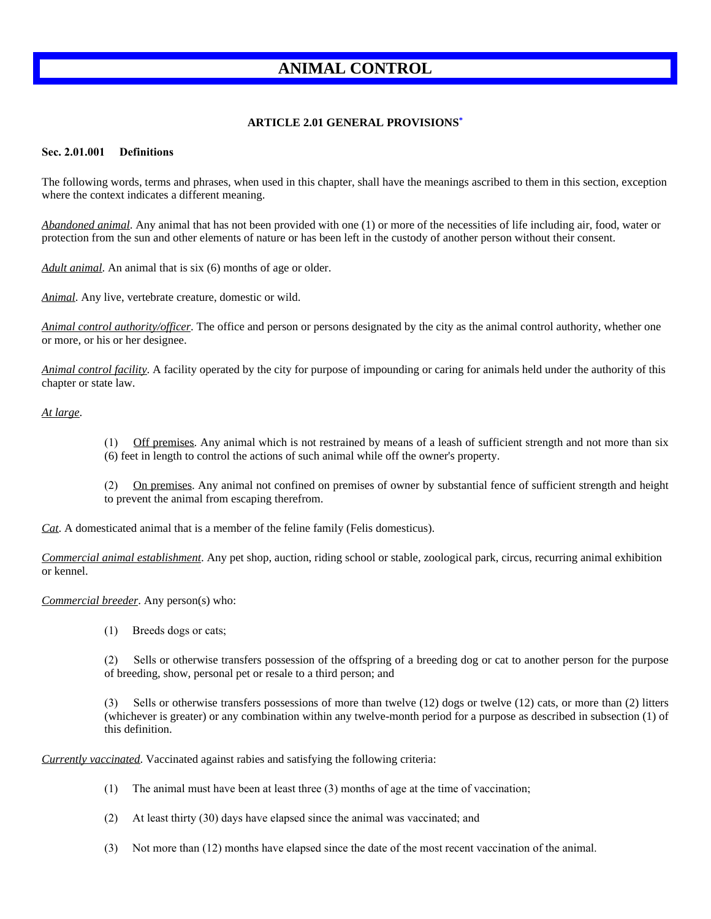# **ANIMAL CONTROL**

# **ARTICLE 2.01 GENERAL PROVISIONS[\\*](https://z2codes.franklinlegal.net/franklin/DocViewer.jsp?doccode=z20000027&z2collection=pilotpoint&showInToc=false#z2Code_z20000027)**

#### **Sec. 2.01.001 Definitions**

The following words, terms and phrases, when used in this chapter, shall have the meanings ascribed to them in this section, exception where the context indicates a different meaning.

*Abandoned animal*. Any animal that has not been provided with one (1) or more of the necessities of life including air, food, water or protection from the sun and other elements of nature or has been left in the custody of another person without their consent.

*Adult animal*. An animal that is six (6) months of age or older.

*Animal*. Any live, vertebrate creature, domestic or wild.

*Animal control authority/officer*. The office and person or persons designated by the city as the animal control authority, whether one or more, or his or her designee.

*Animal control facility*. A facility operated by the city for purpose of impounding or caring for animals held under the authority of this chapter or state law.

### *At large*.

- (1) Off premises. Any animal which is not restrained by means of a leash of sufficient strength and not more than six
- (6) feet in length to control the actions of such animal while off the owner's property.

(2) On premises. Any animal not confined on premises of owner by substantial fence of sufficient strength and height to prevent the animal from escaping therefrom.

*Cat*. A domesticated animal that is a member of the feline family (Felis domesticus).

*Commercial animal establishment*. Any pet shop, auction, riding school or stable, zoological park, circus, recurring animal exhibition or kennel.

*Commercial breeder*. Any person(s) who:

(1) Breeds dogs or cats;

(2) Sells or otherwise transfers possession of the offspring of a breeding dog or cat to another person for the purpose of breeding, show, personal pet or resale to a third person; and

(3) Sells or otherwise transfers possessions of more than twelve (12) dogs or twelve (12) cats, or more than (2) litters (whichever is greater) or any combination within any twelve-month period for a purpose as described in subsection (1) of this definition.

*Currently vaccinated*. Vaccinated against rabies and satisfying the following criteria:

- (1) The animal must have been at least three (3) months of age at the time of vaccination;
- (2) At least thirty (30) days have elapsed since the animal was vaccinated; and
- (3) Not more than (12) months have elapsed since the date of the most recent vaccination of the animal.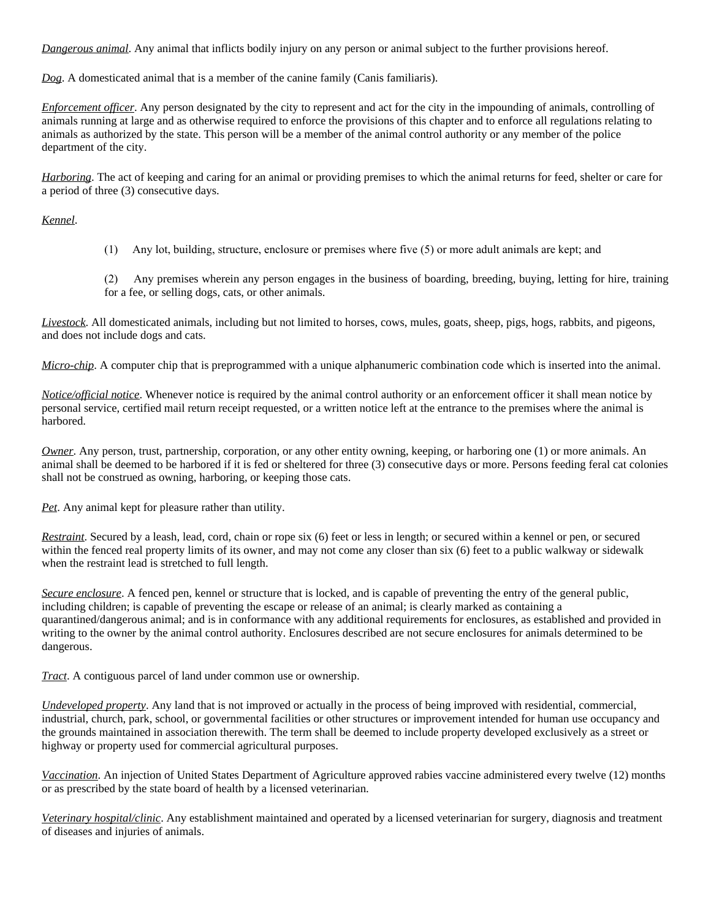*Dangerous animal*. Any animal that inflicts bodily injury on any person or animal subject to the further provisions hereof.

*Dog*. A domesticated animal that is a member of the canine family (Canis familiaris).

*Enforcement officer*. Any person designated by the city to represent and act for the city in the impounding of animals, controlling of animals running at large and as otherwise required to enforce the provisions of this chapter and to enforce all regulations relating to animals as authorized by the state. This person will be a member of the animal control authority or any member of the police department of the city.

*Harboring*. The act of keeping and caring for an animal or providing premises to which the animal returns for feed, shelter or care for a period of three (3) consecutive days.

*Kennel*.

(1) Any lot, building, structure, enclosure or premises where five (5) or more adult animals are kept; and

(2) Any premises wherein any person engages in the business of boarding, breeding, buying, letting for hire, training for a fee, or selling dogs, cats, or other animals.

*Livestock*. All domesticated animals, including but not limited to horses, cows, mules, goats, sheep, pigs, hogs, rabbits, and pigeons, and does not include dogs and cats.

*Micro-chip*. A computer chip that is preprogrammed with a unique alphanumeric combination code which is inserted into the animal.

*Notice/official notice*. Whenever notice is required by the animal control authority or an enforcement officer it shall mean notice by personal service, certified mail return receipt requested, or a written notice left at the entrance to the premises where the animal is harbored.

*Owner*. Any person, trust, partnership, corporation, or any other entity owning, keeping, or harboring one (1) or more animals. An animal shall be deemed to be harbored if it is fed or sheltered for three (3) consecutive days or more. Persons feeding feral cat colonies shall not be construed as owning, harboring, or keeping those cats.

*Pet*. Any animal kept for pleasure rather than utility.

*Restraint*. Secured by a leash, lead, cord, chain or rope six (6) feet or less in length; or secured within a kennel or pen, or secured within the fenced real property limits of its owner, and may not come any closer than six (6) feet to a public walkway or sidewalk when the restraint lead is stretched to full length.

*Secure enclosure*. A fenced pen, kennel or structure that is locked, and is capable of preventing the entry of the general public, including children; is capable of preventing the escape or release of an animal; is clearly marked as containing a quarantined/dangerous animal; and is in conformance with any additional requirements for enclosures, as established and provided in writing to the owner by the animal control authority. Enclosures described are not secure enclosures for animals determined to be dangerous.

*Tract*. A contiguous parcel of land under common use or ownership.

*Undeveloped property*. Any land that is not improved or actually in the process of being improved with residential, commercial, industrial, church, park, school, or governmental facilities or other structures or improvement intended for human use occupancy and the grounds maintained in association therewith. The term shall be deemed to include property developed exclusively as a street or highway or property used for commercial agricultural purposes.

*Vaccination*. An injection of United States Department of Agriculture approved rabies vaccine administered every twelve (12) months or as prescribed by the state board of health by a licensed veterinarian.

*Veterinary hospital/clinic*. Any establishment maintained and operated by a licensed veterinarian for surgery, diagnosis and treatment of diseases and injuries of animals.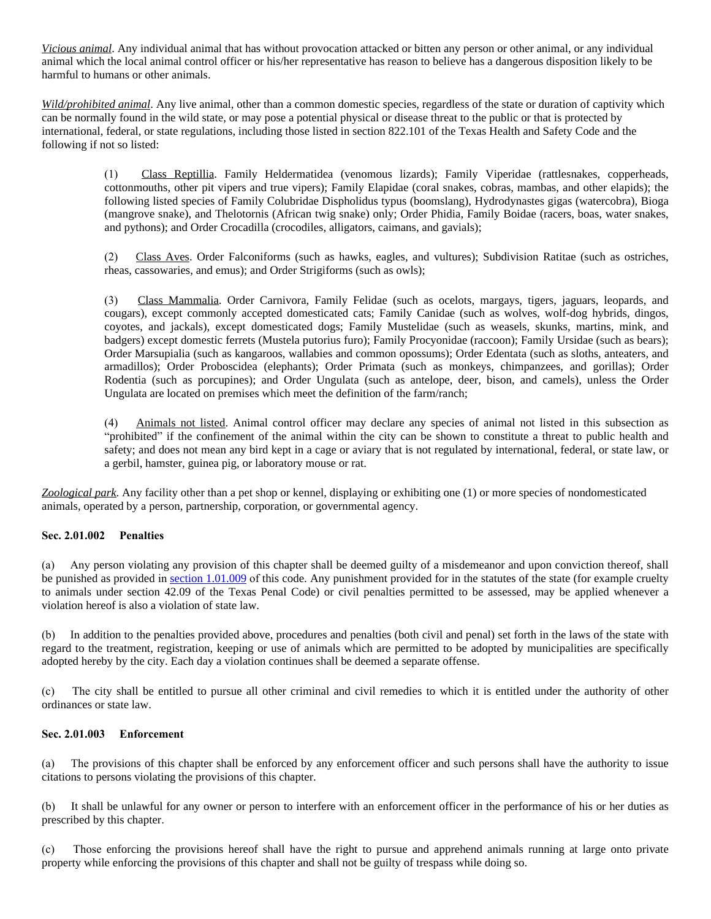*Vicious animal*. Any individual animal that has without provocation attacked or bitten any person or other animal, or any individual animal which the local animal control officer or his/her representative has reason to believe has a dangerous disposition likely to be harmful to humans or other animals.

*Wild/prohibited animal*. Any live animal, other than a common domestic species, regardless of the state or duration of captivity which can be normally found in the wild state, or may pose a potential physical or disease threat to the public or that is protected by international, federal, or state regulations, including those listed in section 822.101 of the Texas Health and Safety Code and the following if not so listed:

> (1) Class Reptillia. Family Heldermatidea (venomous lizards); Family Viperidae (rattlesnakes, copperheads, cottonmouths, other pit vipers and true vipers); Family Elapidae (coral snakes, cobras, mambas, and other elapids); the following listed species of Family Colubridae Dispholidus typus (boomslang), Hydrodynastes gigas (watercobra), Bioga (mangrove snake), and Thelotornis (African twig snake) only; Order Phidia, Family Boidae (racers, boas, water snakes, and pythons); and Order Crocadilla (crocodiles, alligators, caimans, and gavials);

> (2) Class Aves. Order Falconiforms (such as hawks, eagles, and vultures); Subdivision Ratitae (such as ostriches, rheas, cassowaries, and emus); and Order Strigiforms (such as owls);

> (3) Class Mammalia. Order Carnivora, Family Felidae (such as ocelots, margays, tigers, jaguars, leopards, and cougars), except commonly accepted domesticated cats; Family Canidae (such as wolves, wolf-dog hybrids, dingos, coyotes, and jackals), except domesticated dogs; Family Mustelidae (such as weasels, skunks, martins, mink, and badgers) except domestic ferrets (Mustela putorius furo); Family Procyonidae (raccoon); Family Ursidae (such as bears); Order Marsupialia (such as kangaroos, wallabies and common opossums); Order Edentata (such as sloths, anteaters, and armadillos); Order Proboscidea (elephants); Order Primata (such as monkeys, chimpanzees, and gorillas); Order Rodentia (such as porcupines); and Order Ungulata (such as antelope, deer, bison, and camels), unless the Order Ungulata are located on premises which meet the definition of the farm/ranch;

> (4) Animals not listed. Animal control officer may declare any species of animal not listed in this subsection as "prohibited" if the confinement of the animal within the city can be shown to constitute a threat to public health and safety; and does not mean any bird kept in a cage or aviary that is not regulated by international, federal, or state law, or a gerbil, hamster, guinea pig, or laboratory mouse or rat.

*Zoological park*. Any facility other than a pet shop or kennel, displaying or exhibiting one (1) or more species of nondomesticated animals, operated by a person, partnership, corporation, or governmental agency.

# **Sec. 2.01.002 Penalties**

(a) Any person violating any provision of this chapter shall be deemed guilty of a misdemeanor and upon conviction thereof, shall be punished as provided in [section 1.01.009](https://z2codes.franklinlegal.net/franklin/DocViewer.jsp?doccode=z20000011&z2collection=pilotpoint#JD_1.01.009) of this code. Any punishment provided for in the statutes of the state (for example cruelty to animals under section 42.09 of the Texas Penal Code) or civil penalties permitted to be assessed, may be applied whenever a violation hereof is also a violation of state law.

(b) In addition to the penalties provided above, procedures and penalties (both civil and penal) set forth in the laws of the state with regard to the treatment, registration, keeping or use of animals which are permitted to be adopted by municipalities are specifically adopted hereby by the city. Each day a violation continues shall be deemed a separate offense.

(c) The city shall be entitled to pursue all other criminal and civil remedies to which it is entitled under the authority of other ordinances or state law.

## **Sec. 2.01.003 Enforcement**

(a) The provisions of this chapter shall be enforced by any enforcement officer and such persons shall have the authority to issue citations to persons violating the provisions of this chapter.

(b) It shall be unlawful for any owner or person to interfere with an enforcement officer in the performance of his or her duties as prescribed by this chapter.

(c) Those enforcing the provisions hereof shall have the right to pursue and apprehend animals running at large onto private property while enforcing the provisions of this chapter and shall not be guilty of trespass while doing so.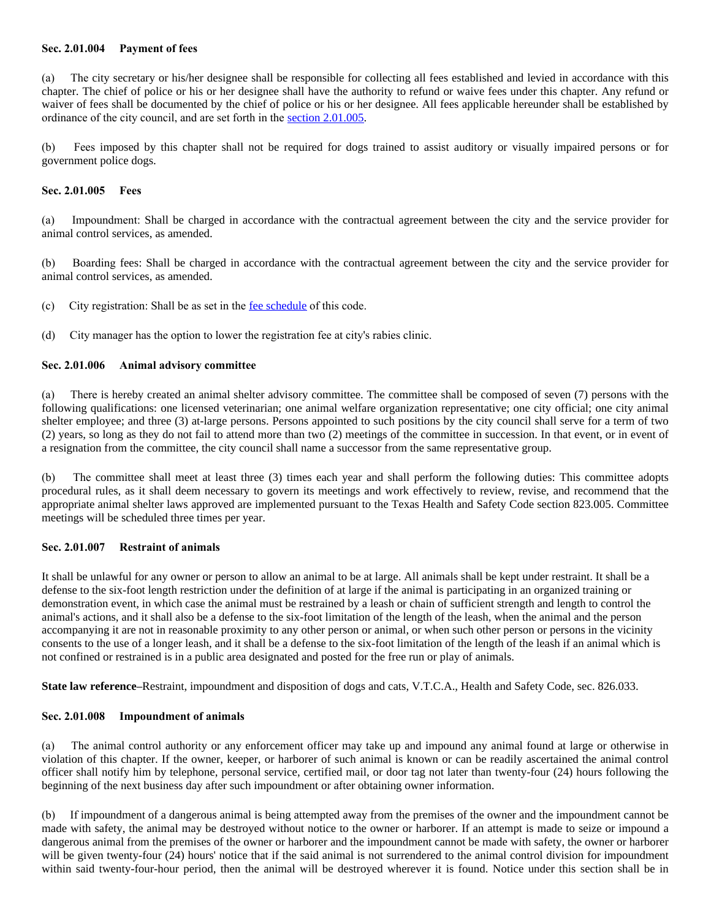#### **Sec. 2.01.004 Payment of fees**

(a) The city secretary or his/her designee shall be responsible for collecting all fees established and levied in accordance with this chapter. The chief of police or his or her designee shall have the authority to refund or waive fees under this chapter. Any refund or waiver of fees shall be documented by the chief of police or his or her designee. All fees applicable hereunder shall be established by ordinance of the city council, and are set forth in the [section 2.01.005](https://z2codes.franklinlegal.net/franklin/DocViewer.jsp?doccode=z20000026&z2collection=pilotpoint#JD_2.01.005).

(b) Fees imposed by this chapter shall not be required for dogs trained to assist auditory or visually impaired persons or for government police dogs.

#### **Sec. 2.01.005 Fees**

(a) Impoundment: Shall be charged in accordance with the contractual agreement between the city and the service provider for animal control services, as amended.

(b) Boarding fees: Shall be charged in accordance with the contractual agreement between the city and the service provider for animal control services, as amended.

(c) City registration: Shall be as set in the [fee schedule](https://z2codes.franklinlegal.net/franklin/DocViewer.jsp?doccode=z20000088&z2collection=pilotpoint#JD_Fee%20Schedule) of this code.

(d) City manager has the option to lower the registration fee at city's rabies clinic.

#### **Sec. 2.01.006 Animal advisory committee**

(a) There is hereby created an animal shelter advisory committee. The committee shall be composed of seven (7) persons with the following qualifications: one licensed veterinarian; one animal welfare organization representative; one city official; one city animal shelter employee; and three (3) at-large persons. Persons appointed to such positions by the city council shall serve for a term of two (2) years, so long as they do not fail to attend more than two (2) meetings of the committee in succession. In that event, or in event of a resignation from the committee, the city council shall name a successor from the same representative group.

(b) The committee shall meet at least three (3) times each year and shall perform the following duties: This committee adopts procedural rules, as it shall deem necessary to govern its meetings and work effectively to review, revise, and recommend that the appropriate animal shelter laws approved are implemented pursuant to the Texas Health and Safety Code section 823.005. Committee meetings will be scheduled three times per year.

# **Sec. 2.01.007 Restraint of animals**

It shall be unlawful for any owner or person to allow an animal to be at large. All animals shall be kept under restraint. It shall be a defense to the six-foot length restriction under the definition of at large if the animal is participating in an organized training or demonstration event, in which case the animal must be restrained by a leash or chain of sufficient strength and length to control the animal's actions, and it shall also be a defense to the six-foot limitation of the length of the leash, when the animal and the person accompanying it are not in reasonable proximity to any other person or animal, or when such other person or persons in the vicinity consents to the use of a longer leash, and it shall be a defense to the six-foot limitation of the length of the leash if an animal which is not confined or restrained is in a public area designated and posted for the free run or play of animals.

**State law reference–**Restraint, impoundment and disposition of dogs and cats, V.T.C.A., Health and Safety Code, sec. 826.033.

#### **Sec. 2.01.008 Impoundment of animals**

(a) The animal control authority or any enforcement officer may take up and impound any animal found at large or otherwise in violation of this chapter. If the owner, keeper, or harborer of such animal is known or can be readily ascertained the animal control officer shall notify him by telephone, personal service, certified mail, or door tag not later than twenty-four (24) hours following the beginning of the next business day after such impoundment or after obtaining owner information.

(b) If impoundment of a dangerous animal is being attempted away from the premises of the owner and the impoundment cannot be made with safety, the animal may be destroyed without notice to the owner or harborer. If an attempt is made to seize or impound a dangerous animal from the premises of the owner or harborer and the impoundment cannot be made with safety, the owner or harborer will be given twenty-four (24) hours' notice that if the said animal is not surrendered to the animal control division for impoundment within said twenty-four-hour period, then the animal will be destroyed wherever it is found. Notice under this section shall be in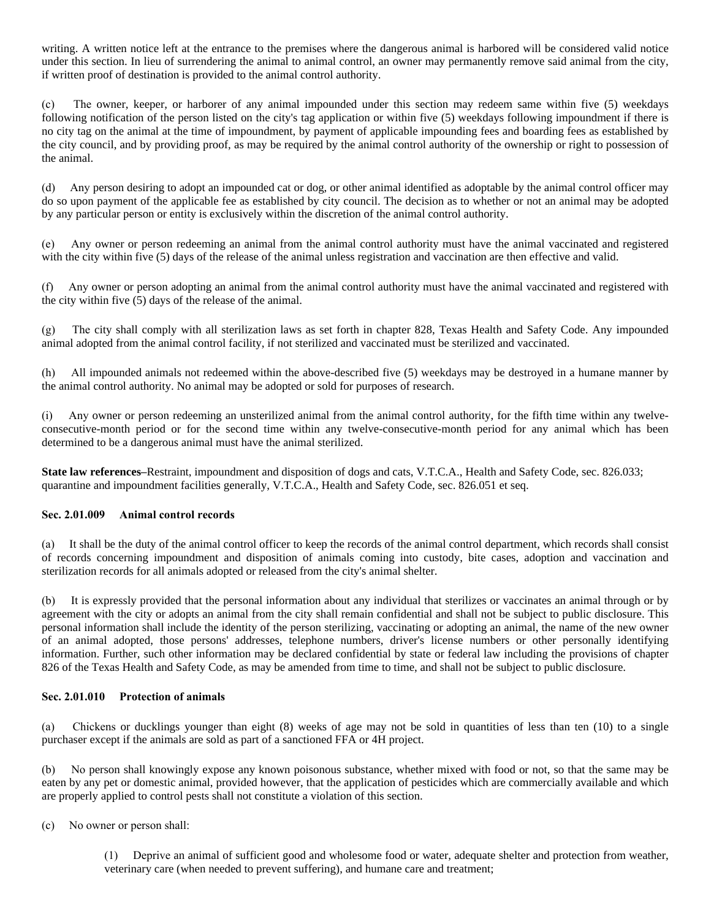writing. A written notice left at the entrance to the premises where the dangerous animal is harbored will be considered valid notice under this section. In lieu of surrendering the animal to animal control, an owner may permanently remove said animal from the city, if written proof of destination is provided to the animal control authority.

(c) The owner, keeper, or harborer of any animal impounded under this section may redeem same within five (5) weekdays following notification of the person listed on the city's tag application or within five (5) weekdays following impoundment if there is no city tag on the animal at the time of impoundment, by payment of applicable impounding fees and boarding fees as established by the city council, and by providing proof, as may be required by the animal control authority of the ownership or right to possession of the animal.

(d) Any person desiring to adopt an impounded cat or dog, or other animal identified as adoptable by the animal control officer may do so upon payment of the applicable fee as established by city council. The decision as to whether or not an animal may be adopted by any particular person or entity is exclusively within the discretion of the animal control authority.

(e) Any owner or person redeeming an animal from the animal control authority must have the animal vaccinated and registered with the city within five (5) days of the release of the animal unless registration and vaccination are then effective and valid.

(f) Any owner or person adopting an animal from the animal control authority must have the animal vaccinated and registered with the city within five (5) days of the release of the animal.

(g) The city shall comply with all sterilization laws as set forth in chapter 828, Texas Health and Safety Code. Any impounded animal adopted from the animal control facility, if not sterilized and vaccinated must be sterilized and vaccinated.

(h) All impounded animals not redeemed within the above-described five (5) weekdays may be destroyed in a humane manner by the animal control authority. No animal may be adopted or sold for purposes of research.

Any owner or person redeeming an unsterilized animal from the animal control authority, for the fifth time within any twelveconsecutive-month period or for the second time within any twelve-consecutive-month period for any animal which has been determined to be a dangerous animal must have the animal sterilized.

**State law references–**Restraint, impoundment and disposition of dogs and cats, V.T.C.A., Health and Safety Code, sec. 826.033; quarantine and impoundment facilities generally, V.T.C.A., Health and Safety Code, sec. 826.051 et seq.

# **Sec. 2.01.009 Animal control records**

(a) It shall be the duty of the animal control officer to keep the records of the animal control department, which records shall consist of records concerning impoundment and disposition of animals coming into custody, bite cases, adoption and vaccination and sterilization records for all animals adopted or released from the city's animal shelter.

(b) It is expressly provided that the personal information about any individual that sterilizes or vaccinates an animal through or by agreement with the city or adopts an animal from the city shall remain confidential and shall not be subject to public disclosure. This personal information shall include the identity of the person sterilizing, vaccinating or adopting an animal, the name of the new owner of an animal adopted, those persons' addresses, telephone numbers, driver's license numbers or other personally identifying information. Further, such other information may be declared confidential by state or federal law including the provisions of chapter 826 of the Texas Health and Safety Code, as may be amended from time to time, and shall not be subject to public disclosure.

#### **Sec. 2.01.010 Protection of animals**

(a) Chickens or ducklings younger than eight (8) weeks of age may not be sold in quantities of less than ten (10) to a single purchaser except if the animals are sold as part of a sanctioned FFA or 4H project.

(b) No person shall knowingly expose any known poisonous substance, whether mixed with food or not, so that the same may be eaten by any pet or domestic animal, provided however, that the application of pesticides which are commercially available and which are properly applied to control pests shall not constitute a violation of this section.

(c) No owner or person shall:

(1) Deprive an animal of sufficient good and wholesome food or water, adequate shelter and protection from weather, veterinary care (when needed to prevent suffering), and humane care and treatment;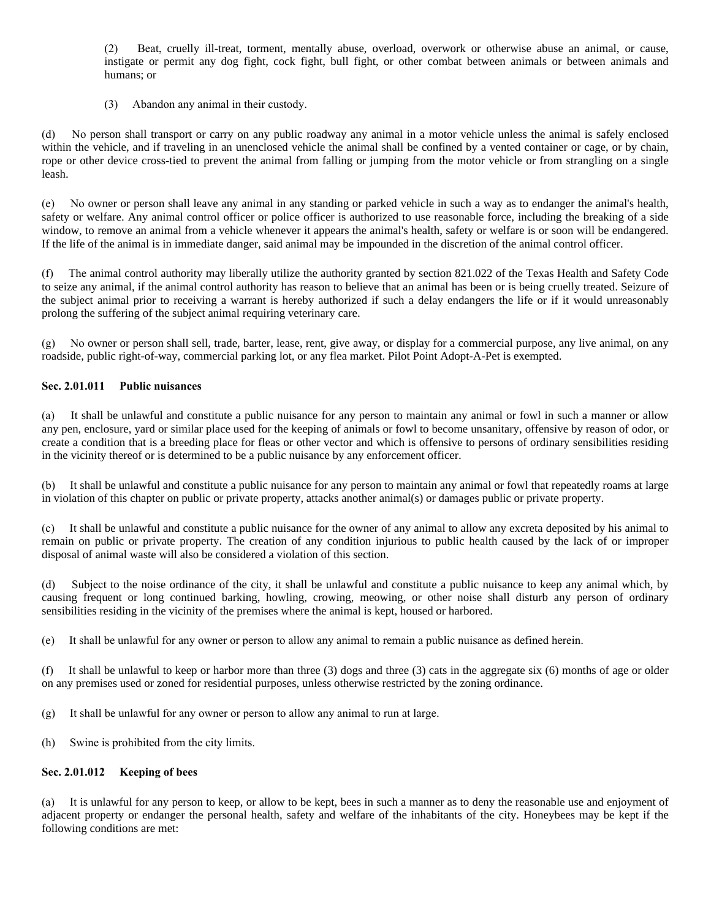(2) Beat, cruelly ill-treat, torment, mentally abuse, overload, overwork or otherwise abuse an animal, or cause, instigate or permit any dog fight, cock fight, bull fight, or other combat between animals or between animals and humans; or

(3) Abandon any animal in their custody.

(d) No person shall transport or carry on any public roadway any animal in a motor vehicle unless the animal is safely enclosed within the vehicle, and if traveling in an unenclosed vehicle the animal shall be confined by a vented container or cage, or by chain, rope or other device cross-tied to prevent the animal from falling or jumping from the motor vehicle or from strangling on a single leash.

(e) No owner or person shall leave any animal in any standing or parked vehicle in such a way as to endanger the animal's health, safety or welfare. Any animal control officer or police officer is authorized to use reasonable force, including the breaking of a side window, to remove an animal from a vehicle whenever it appears the animal's health, safety or welfare is or soon will be endangered. If the life of the animal is in immediate danger, said animal may be impounded in the discretion of the animal control officer.

(f) The animal control authority may liberally utilize the authority granted by section 821.022 of the Texas Health and Safety Code to seize any animal, if the animal control authority has reason to believe that an animal has been or is being cruelly treated. Seizure of the subject animal prior to receiving a warrant is hereby authorized if such a delay endangers the life or if it would unreasonably prolong the suffering of the subject animal requiring veterinary care.

(g) No owner or person shall sell, trade, barter, lease, rent, give away, or display for a commercial purpose, any live animal, on any roadside, public right-of-way, commercial parking lot, or any flea market. Pilot Point Adopt-A-Pet is exempted.

# **Sec. 2.01.011 Public nuisances**

(a) It shall be unlawful and constitute a public nuisance for any person to maintain any animal or fowl in such a manner or allow any pen, enclosure, yard or similar place used for the keeping of animals or fowl to become unsanitary, offensive by reason of odor, or create a condition that is a breeding place for fleas or other vector and which is offensive to persons of ordinary sensibilities residing in the vicinity thereof or is determined to be a public nuisance by any enforcement officer.

(b) It shall be unlawful and constitute a public nuisance for any person to maintain any animal or fowl that repeatedly roams at large in violation of this chapter on public or private property, attacks another animal(s) or damages public or private property.

(c) It shall be unlawful and constitute a public nuisance for the owner of any animal to allow any excreta deposited by his animal to remain on public or private property. The creation of any condition injurious to public health caused by the lack of or improper disposal of animal waste will also be considered a violation of this section.

(d) Subject to the noise ordinance of the city, it shall be unlawful and constitute a public nuisance to keep any animal which, by causing frequent or long continued barking, howling, crowing, meowing, or other noise shall disturb any person of ordinary sensibilities residing in the vicinity of the premises where the animal is kept, housed or harbored.

(e) It shall be unlawful for any owner or person to allow any animal to remain a public nuisance as defined herein.

(f) It shall be unlawful to keep or harbor more than three (3) dogs and three (3) cats in the aggregate six (6) months of age or older on any premises used or zoned for residential purposes, unless otherwise restricted by the zoning ordinance.

- (g) It shall be unlawful for any owner or person to allow any animal to run at large.
- (h) Swine is prohibited from the city limits.

# **Sec. 2.01.012 Keeping of bees**

(a) It is unlawful for any person to keep, or allow to be kept, bees in such a manner as to deny the reasonable use and enjoyment of adjacent property or endanger the personal health, safety and welfare of the inhabitants of the city. Honeybees may be kept if the following conditions are met: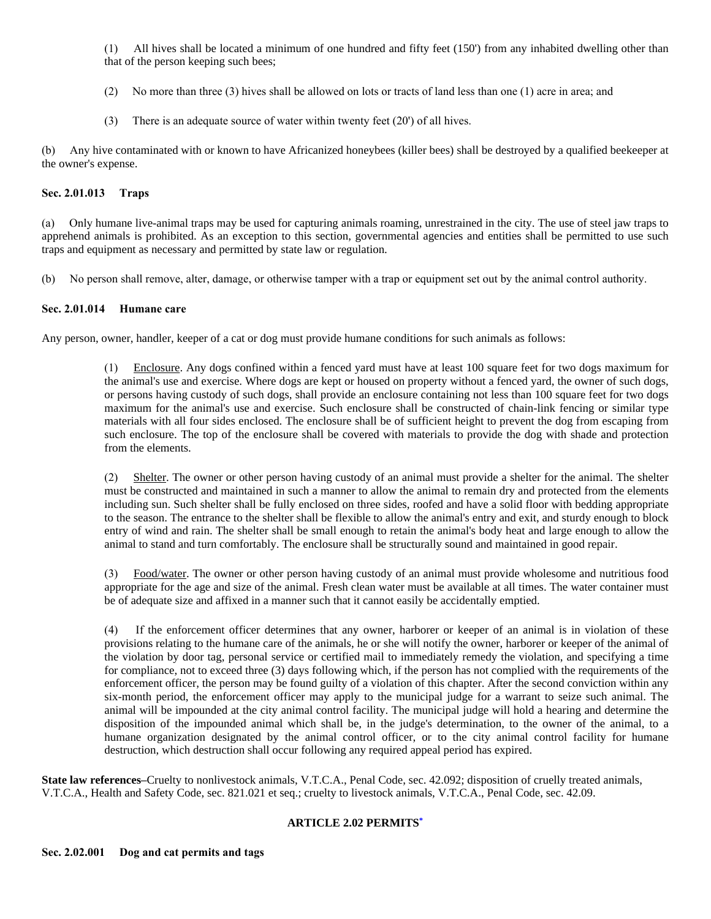(1) All hives shall be located a minimum of one hundred and fifty feet (150') from any inhabited dwelling other than that of the person keeping such bees;

- (2) No more than three (3) hives shall be allowed on lots or tracts of land less than one (1) acre in area; and
- (3) There is an adequate source of water within twenty feet (20') of all hives.

(b) Any hive contaminated with or known to have Africanized honeybees (killer bees) shall be destroyed by a qualified beekeeper at the owner's expense.

# **Sec. 2.01.013 Traps**

(a) Only humane live-animal traps may be used for capturing animals roaming, unrestrained in the city. The use of steel jaw traps to apprehend animals is prohibited. As an exception to this section, governmental agencies and entities shall be permitted to use such traps and equipment as necessary and permitted by state law or regulation.

(b) No person shall remove, alter, damage, or otherwise tamper with a trap or equipment set out by the animal control authority.

#### **Sec. 2.01.014 Humane care**

Any person, owner, handler, keeper of a cat or dog must provide humane conditions for such animals as follows:

(1) Enclosure. Any dogs confined within a fenced yard must have at least 100 square feet for two dogs maximum for the animal's use and exercise. Where dogs are kept or housed on property without a fenced yard, the owner of such dogs, or persons having custody of such dogs, shall provide an enclosure containing not less than 100 square feet for two dogs maximum for the animal's use and exercise. Such enclosure shall be constructed of chain-link fencing or similar type materials with all four sides enclosed. The enclosure shall be of sufficient height to prevent the dog from escaping from such enclosure. The top of the enclosure shall be covered with materials to provide the dog with shade and protection from the elements.

(2) Shelter. The owner or other person having custody of an animal must provide a shelter for the animal. The shelter must be constructed and maintained in such a manner to allow the animal to remain dry and protected from the elements including sun. Such shelter shall be fully enclosed on three sides, roofed and have a solid floor with bedding appropriate to the season. The entrance to the shelter shall be flexible to allow the animal's entry and exit, and sturdy enough to block entry of wind and rain. The shelter shall be small enough to retain the animal's body heat and large enough to allow the animal to stand and turn comfortably. The enclosure shall be structurally sound and maintained in good repair.

(3) Food/water. The owner or other person having custody of an animal must provide wholesome and nutritious food appropriate for the age and size of the animal. Fresh clean water must be available at all times. The water container must be of adequate size and affixed in a manner such that it cannot easily be accidentally emptied.

(4) If the enforcement officer determines that any owner, harborer or keeper of an animal is in violation of these provisions relating to the humane care of the animals, he or she will notify the owner, harborer or keeper of the animal of the violation by door tag, personal service or certified mail to immediately remedy the violation, and specifying a time for compliance, not to exceed three (3) days following which, if the person has not complied with the requirements of the enforcement officer, the person may be found guilty of a violation of this chapter. After the second conviction within any six-month period, the enforcement officer may apply to the municipal judge for a warrant to seize such animal. The animal will be impounded at the city animal control facility. The municipal judge will hold a hearing and determine the disposition of the impounded animal which shall be, in the judge's determination, to the owner of the animal, to a humane organization designated by the animal control officer, or to the city animal control facility for humane destruction, which destruction shall occur following any required appeal period has expired.

**State law references–Cruelty to nonlivestock animals, V.T.C.A., Penal Code, sec. 42.092; disposition of cruelly treated animals,** V.T.C.A., Health and Safety Code, sec. 821.021 et seq.; cruelty to livestock animals, V.T.C.A., Penal Code, sec. 42.09.

# **ARTICLE 2.02 PERMITS[\\*](https://z2codes.franklinlegal.net/franklin/DocViewer.jsp?doccode=z20000028&z2collection=pilotpoint&showInToc=false#z2Code_z20000028)**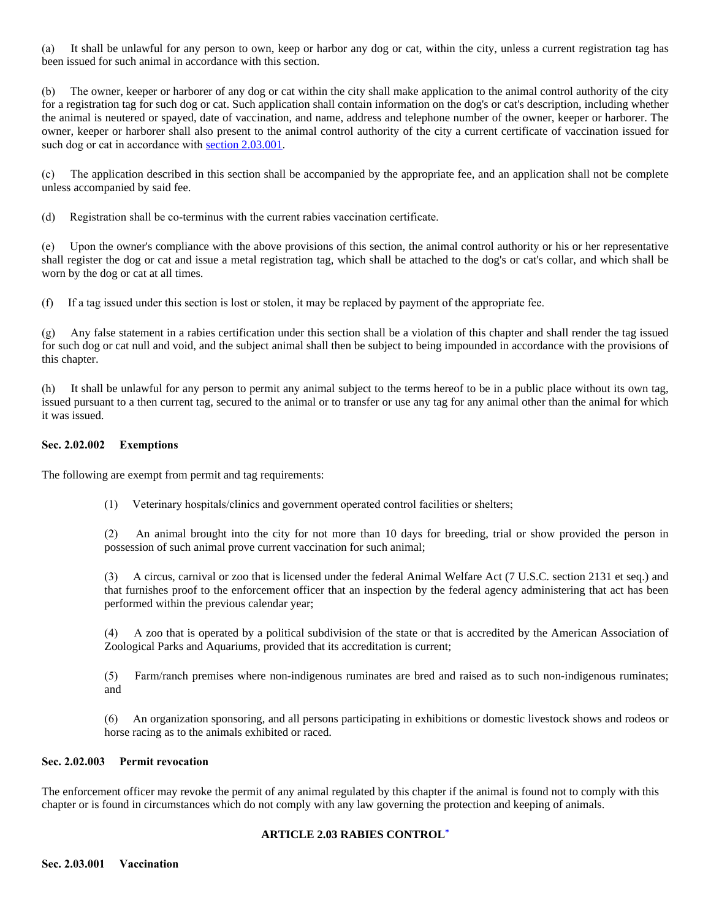(a) It shall be unlawful for any person to own, keep or harbor any dog or cat, within the city, unless a current registration tag has been issued for such animal in accordance with this section.

(b) The owner, keeper or harborer of any dog or cat within the city shall make application to the animal control authority of the city for a registration tag for such dog or cat. Such application shall contain information on the dog's or cat's description, including whether the animal is neutered or spayed, date of vaccination, and name, address and telephone number of the owner, keeper or harborer. The owner, keeper or harborer shall also present to the animal control authority of the city a current certificate of vaccination issued for such dog or cat in accordance with [section 2.03.001](https://z2codes.franklinlegal.net/franklin/DocViewer.jsp?doccode=z20000026&z2collection=pilotpoint#JD_2.03.001).

(c) The application described in this section shall be accompanied by the appropriate fee, and an application shall not be complete unless accompanied by said fee.

(d) Registration shall be co-terminus with the current rabies vaccination certificate.

(e) Upon the owner's compliance with the above provisions of this section, the animal control authority or his or her representative shall register the dog or cat and issue a metal registration tag, which shall be attached to the dog's or cat's collar, and which shall be worn by the dog or cat at all times.

(f) If a tag issued under this section is lost or stolen, it may be replaced by payment of the appropriate fee.

(g) Any false statement in a rabies certification under this section shall be a violation of this chapter and shall render the tag issued for such dog or cat null and void, and the subject animal shall then be subject to being impounded in accordance with the provisions of this chapter.

(h) It shall be unlawful for any person to permit any animal subject to the terms hereof to be in a public place without its own tag, issued pursuant to a then current tag, secured to the animal or to transfer or use any tag for any animal other than the animal for which it was issued.

#### **Sec. 2.02.002 Exemptions**

The following are exempt from permit and tag requirements:

(1) Veterinary hospitals/clinics and government operated control facilities or shelters;

(2) An animal brought into the city for not more than 10 days for breeding, trial or show provided the person in possession of such animal prove current vaccination for such animal;

(3) A circus, carnival or zoo that is licensed under the federal Animal Welfare Act (7 U.S.C. section 2131 et seq.) and that furnishes proof to the enforcement officer that an inspection by the federal agency administering that act has been performed within the previous calendar year;

(4) A zoo that is operated by a political subdivision of the state or that is accredited by the American Association of Zoological Parks and Aquariums, provided that its accreditation is current;

(5) Farm/ranch premises where non-indigenous ruminates are bred and raised as to such non-indigenous ruminates; and

(6) An organization sponsoring, and all persons participating in exhibitions or domestic livestock shows and rodeos or horse racing as to the animals exhibited or raced.

#### **Sec. 2.02.003 Permit revocation**

The enforcement officer may revoke the permit of any animal regulated by this chapter if the animal is found not to comply with this chapter or is found in circumstances which do not comply with any law governing the protection and keeping of animals.

#### **ARTICLE 2.03 RABIES CONTROL[\\*](https://z2codes.franklinlegal.net/franklin/DocViewer.jsp?doccode=z20000029&z2collection=pilotpoint&showInToc=false#z2Code_z20000029)**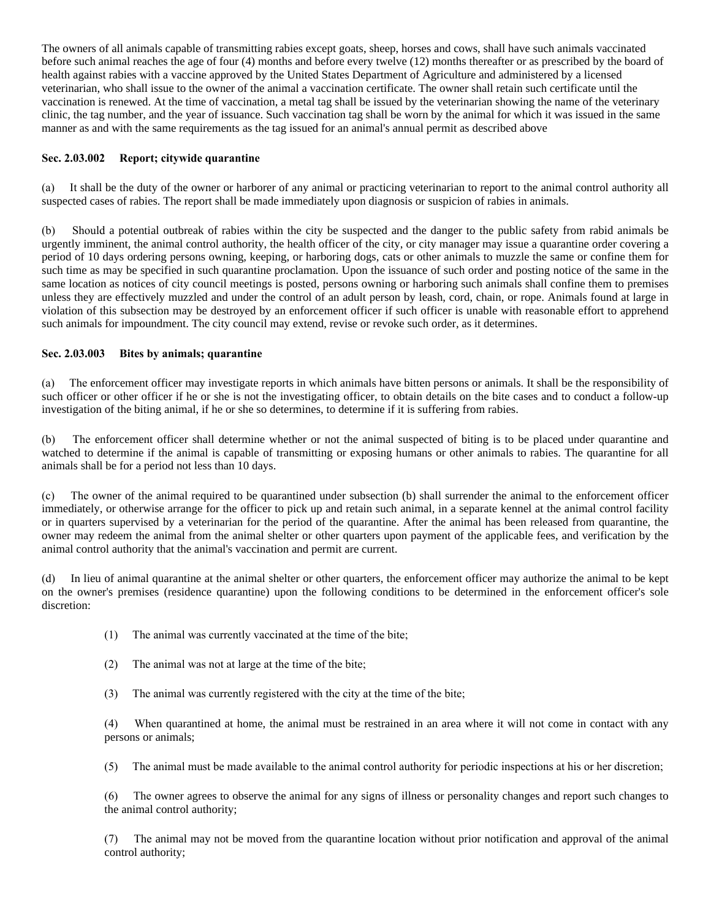The owners of all animals capable of transmitting rabies except goats, sheep, horses and cows, shall have such animals vaccinated before such animal reaches the age of four (4) months and before every twelve (12) months thereafter or as prescribed by the board of health against rabies with a vaccine approved by the United States Department of Agriculture and administered by a licensed veterinarian, who shall issue to the owner of the animal a vaccination certificate. The owner shall retain such certificate until the vaccination is renewed. At the time of vaccination, a metal tag shall be issued by the veterinarian showing the name of the veterinary clinic, the tag number, and the year of issuance. Such vaccination tag shall be worn by the animal for which it was issued in the same manner as and with the same requirements as the tag issued for an animal's annual permit as described above

#### **Sec. 2.03.002 Report; citywide quarantine**

(a) It shall be the duty of the owner or harborer of any animal or practicing veterinarian to report to the animal control authority all suspected cases of rabies. The report shall be made immediately upon diagnosis or suspicion of rabies in animals.

(b) Should a potential outbreak of rabies within the city be suspected and the danger to the public safety from rabid animals be urgently imminent, the animal control authority, the health officer of the city, or city manager may issue a quarantine order covering a period of 10 days ordering persons owning, keeping, or harboring dogs, cats or other animals to muzzle the same or confine them for such time as may be specified in such quarantine proclamation. Upon the issuance of such order and posting notice of the same in the same location as notices of city council meetings is posted, persons owning or harboring such animals shall confine them to premises unless they are effectively muzzled and under the control of an adult person by leash, cord, chain, or rope. Animals found at large in violation of this subsection may be destroyed by an enforcement officer if such officer is unable with reasonable effort to apprehend such animals for impoundment. The city council may extend, revise or revoke such order, as it determines.

#### **Sec. 2.03.003 Bites by animals; quarantine**

(a) The enforcement officer may investigate reports in which animals have bitten persons or animals. It shall be the responsibility of such officer or other officer if he or she is not the investigating officer, to obtain details on the bite cases and to conduct a follow-up investigation of the biting animal, if he or she so determines, to determine if it is suffering from rabies.

(b) The enforcement officer shall determine whether or not the animal suspected of biting is to be placed under quarantine and watched to determine if the animal is capable of transmitting or exposing humans or other animals to rabies. The quarantine for all animals shall be for a period not less than 10 days.

(c) The owner of the animal required to be quarantined under subsection (b) shall surrender the animal to the enforcement officer immediately, or otherwise arrange for the officer to pick up and retain such animal, in a separate kennel at the animal control facility or in quarters supervised by a veterinarian for the period of the quarantine. After the animal has been released from quarantine, the owner may redeem the animal from the animal shelter or other quarters upon payment of the applicable fees, and verification by the animal control authority that the animal's vaccination and permit are current.

In lieu of animal quarantine at the animal shelter or other quarters, the enforcement officer may authorize the animal to be kept on the owner's premises (residence quarantine) upon the following conditions to be determined in the enforcement officer's sole discretion:

- (1) The animal was currently vaccinated at the time of the bite;
- (2) The animal was not at large at the time of the bite;
- (3) The animal was currently registered with the city at the time of the bite;

(4) When quarantined at home, the animal must be restrained in an area where it will not come in contact with any persons or animals;

(5) The animal must be made available to the animal control authority for periodic inspections at his or her discretion;

(6) The owner agrees to observe the animal for any signs of illness or personality changes and report such changes to the animal control authority;

(7) The animal may not be moved from the quarantine location without prior notification and approval of the animal control authority;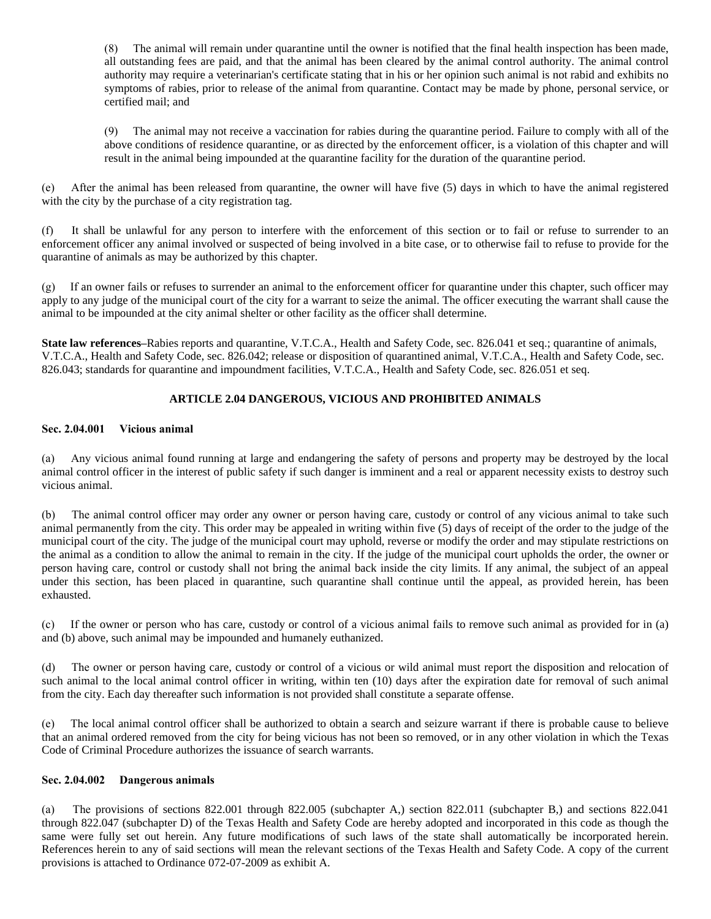(8) The animal will remain under quarantine until the owner is notified that the final health inspection has been made, all outstanding fees are paid, and that the animal has been cleared by the animal control authority. The animal control authority may require a veterinarian's certificate stating that in his or her opinion such animal is not rabid and exhibits no symptoms of rabies, prior to release of the animal from quarantine. Contact may be made by phone, personal service, or certified mail; and

(9) The animal may not receive a vaccination for rabies during the quarantine period. Failure to comply with all of the above conditions of residence quarantine, or as directed by the enforcement officer, is a violation of this chapter and will result in the animal being impounded at the quarantine facility for the duration of the quarantine period.

(e) After the animal has been released from quarantine, the owner will have five (5) days in which to have the animal registered with the city by the purchase of a city registration tag.

(f) It shall be unlawful for any person to interfere with the enforcement of this section or to fail or refuse to surrender to an enforcement officer any animal involved or suspected of being involved in a bite case, or to otherwise fail to refuse to provide for the quarantine of animals as may be authorized by this chapter.

If an owner fails or refuses to surrender an animal to the enforcement officer for quarantine under this chapter, such officer may apply to any judge of the municipal court of the city for a warrant to seize the animal. The officer executing the warrant shall cause the animal to be impounded at the city animal shelter or other facility as the officer shall determine.

**State law references–**Rabies reports and quarantine, V.T.C.A., Health and Safety Code, sec. 826.041 et seq.; quarantine of animals, V.T.C.A., Health and Safety Code, sec. 826.042; release or disposition of quarantined animal, V.T.C.A., Health and Safety Code, sec. 826.043; standards for quarantine and impoundment facilities, V.T.C.A., Health and Safety Code, sec. 826.051 et seq.

# **ARTICLE 2.04 DANGEROUS, VICIOUS AND PROHIBITED ANIMALS**

#### **Sec. 2.04.001 Vicious animal**

(a) Any vicious animal found running at large and endangering the safety of persons and property may be destroyed by the local animal control officer in the interest of public safety if such danger is imminent and a real or apparent necessity exists to destroy such vicious animal.

(b) The animal control officer may order any owner or person having care, custody or control of any vicious animal to take such animal permanently from the city. This order may be appealed in writing within five (5) days of receipt of the order to the judge of the municipal court of the city. The judge of the municipal court may uphold, reverse or modify the order and may stipulate restrictions on the animal as a condition to allow the animal to remain in the city. If the judge of the municipal court upholds the order, the owner or person having care, control or custody shall not bring the animal back inside the city limits. If any animal, the subject of an appeal under this section, has been placed in quarantine, such quarantine shall continue until the appeal, as provided herein, has been exhausted.

(c) If the owner or person who has care, custody or control of a vicious animal fails to remove such animal as provided for in (a) and (b) above, such animal may be impounded and humanely euthanized.

(d) The owner or person having care, custody or control of a vicious or wild animal must report the disposition and relocation of such animal to the local animal control officer in writing, within ten (10) days after the expiration date for removal of such animal from the city. Each day thereafter such information is not provided shall constitute a separate offense.

(e) The local animal control officer shall be authorized to obtain a search and seizure warrant if there is probable cause to believe that an animal ordered removed from the city for being vicious has not been so removed, or in any other violation in which the Texas Code of Criminal Procedure authorizes the issuance of search warrants.

#### **Sec. 2.04.002 Dangerous animals**

(a) The provisions of sections 822.001 through 822.005 (subchapter A,) section 822.011 (subchapter B,) and sections 822.041 through 822.047 (subchapter D) of the Texas Health and Safety Code are hereby adopted and incorporated in this code as though the same were fully set out herein. Any future modifications of such laws of the state shall automatically be incorporated herein. References herein to any of said sections will mean the relevant sections of the Texas Health and Safety Code. A copy of the current provisions is attached to Ordinance 072-07-2009 as exhibit A.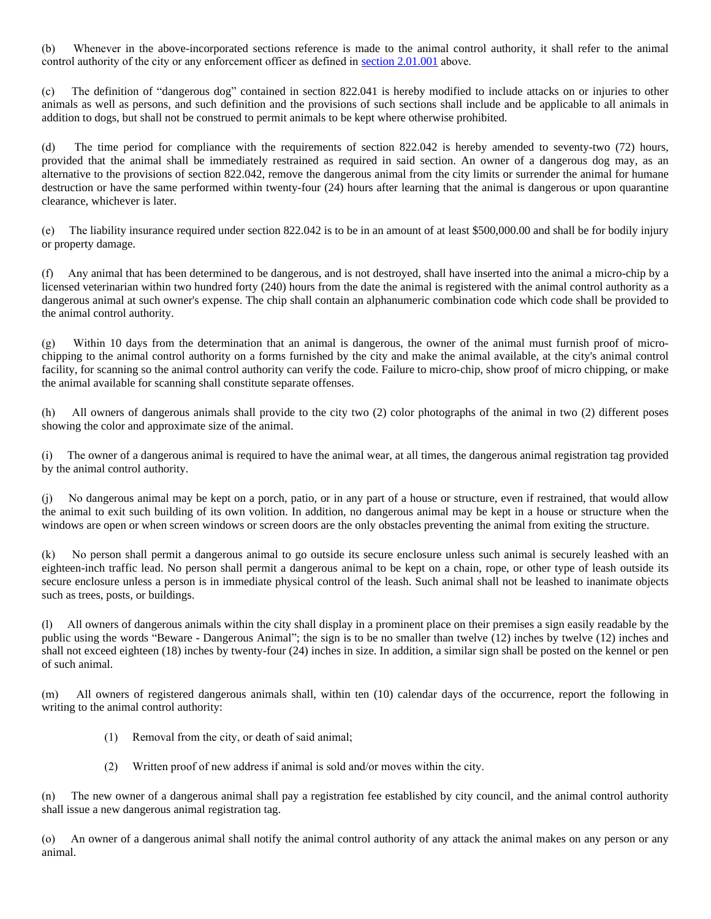(b) Whenever in the above-incorporated sections reference is made to the animal control authority, it shall refer to the animal control authority of the city or any enforcement officer as defined in [section 2.01.001](https://z2codes.franklinlegal.net/franklin/DocViewer.jsp?doccode=z20000026&z2collection=pilotpoint#JD_2.01.001) above.

(c) The definition of "dangerous dog" contained in section 822.041 is hereby modified to include attacks on or injuries to other animals as well as persons, and such definition and the provisions of such sections shall include and be applicable to all animals in addition to dogs, but shall not be construed to permit animals to be kept where otherwise prohibited.

(d) The time period for compliance with the requirements of section 822.042 is hereby amended to seventy-two (72) hours, provided that the animal shall be immediately restrained as required in said section. An owner of a dangerous dog may, as an alternative to the provisions of section 822.042, remove the dangerous animal from the city limits or surrender the animal for humane destruction or have the same performed within twenty-four (24) hours after learning that the animal is dangerous or upon quarantine clearance, whichever is later.

(e) The liability insurance required under section 822.042 is to be in an amount of at least \$500,000.00 and shall be for bodily injury or property damage.

(f) Any animal that has been determined to be dangerous, and is not destroyed, shall have inserted into the animal a micro-chip by a licensed veterinarian within two hundred forty (240) hours from the date the animal is registered with the animal control authority as a dangerous animal at such owner's expense. The chip shall contain an alphanumeric combination code which code shall be provided to the animal control authority.

(g) Within 10 days from the determination that an animal is dangerous, the owner of the animal must furnish proof of microchipping to the animal control authority on a forms furnished by the city and make the animal available, at the city's animal control facility, for scanning so the animal control authority can verify the code. Failure to micro-chip, show proof of micro chipping, or make the animal available for scanning shall constitute separate offenses.

(h) All owners of dangerous animals shall provide to the city two (2) color photographs of the animal in two (2) different poses showing the color and approximate size of the animal.

The owner of a dangerous animal is required to have the animal wear, at all times, the dangerous animal registration tag provided by the animal control authority.

(j) No dangerous animal may be kept on a porch, patio, or in any part of a house or structure, even if restrained, that would allow the animal to exit such building of its own volition. In addition, no dangerous animal may be kept in a house or structure when the windows are open or when screen windows or screen doors are the only obstacles preventing the animal from exiting the structure.

(k) No person shall permit a dangerous animal to go outside its secure enclosure unless such animal is securely leashed with an eighteen-inch traffic lead. No person shall permit a dangerous animal to be kept on a chain, rope, or other type of leash outside its secure enclosure unless a person is in immediate physical control of the leash. Such animal shall not be leashed to inanimate objects such as trees, posts, or buildings.

All owners of dangerous animals within the city shall display in a prominent place on their premises a sign easily readable by the public using the words "Beware - Dangerous Animal"; the sign is to be no smaller than twelve (12) inches by twelve (12) inches and shall not exceed eighteen (18) inches by twenty-four (24) inches in size. In addition, a similar sign shall be posted on the kennel or pen of such animal.

(m) All owners of registered dangerous animals shall, within ten (10) calendar days of the occurrence, report the following in writing to the animal control authority:

- (1) Removal from the city, or death of said animal;
- (2) Written proof of new address if animal is sold and/or moves within the city.

(n) The new owner of a dangerous animal shall pay a registration fee established by city council, and the animal control authority shall issue a new dangerous animal registration tag.

(o) An owner of a dangerous animal shall notify the animal control authority of any attack the animal makes on any person or any animal.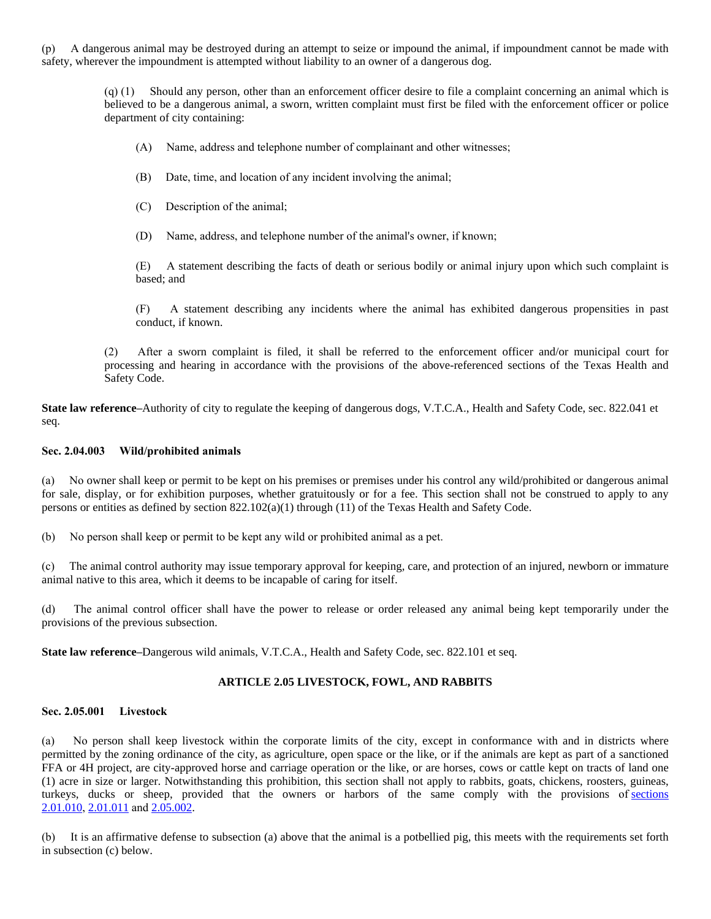(p) A dangerous animal may be destroyed during an attempt to seize or impound the animal, if impoundment cannot be made with safety, wherever the impoundment is attempted without liability to an owner of a dangerous dog.

> (q) (1) Should any person, other than an enforcement officer desire to file a complaint concerning an animal which is believed to be a dangerous animal, a sworn, written complaint must first be filed with the enforcement officer or police department of city containing:

- (A) Name, address and telephone number of complainant and other witnesses;
- (B) Date, time, and location of any incident involving the animal;
- (C) Description of the animal;
- (D) Name, address, and telephone number of the animal's owner, if known;

(E) A statement describing the facts of death or serious bodily or animal injury upon which such complaint is based; and

(F) A statement describing any incidents where the animal has exhibited dangerous propensities in past conduct, if known.

(2) After a sworn complaint is filed, it shall be referred to the enforcement officer and/or municipal court for processing and hearing in accordance with the provisions of the above-referenced sections of the Texas Health and Safety Code.

**State law reference–**Authority of city to regulate the keeping of dangerous dogs, V.T.C.A., Health and Safety Code, sec. 822.041 et seq.

#### **Sec. 2.04.003 Wild/prohibited animals**

(a) No owner shall keep or permit to be kept on his premises or premises under his control any wild/prohibited or dangerous animal for sale, display, or for exhibition purposes, whether gratuitously or for a fee. This section shall not be construed to apply to any persons or entities as defined by section 822.102(a)(1) through (11) of the Texas Health and Safety Code.

(b) No person shall keep or permit to be kept any wild or prohibited animal as a pet.

(c) The animal control authority may issue temporary approval for keeping, care, and protection of an injured, newborn or immature animal native to this area, which it deems to be incapable of caring for itself.

(d) The animal control officer shall have the power to release or order released any animal being kept temporarily under the provisions of the previous subsection.

**State law reference–**Dangerous wild animals, V.T.C.A., Health and Safety Code, sec. 822.101 et seq.

# **ARTICLE 2.05 LIVESTOCK, FOWL, AND RABBITS**

#### **Sec. 2.05.001 Livestock**

(a) No person shall keep livestock within the corporate limits of the city, except in conformance with and in districts where permitted by the zoning ordinance of the city, as agriculture, open space or the like, or if the animals are kept as part of a sanctioned FFA or 4H project, are city-approved horse and carriage operation or the like, or are horses, cows or cattle kept on tracts of land one (1) acre in size or larger. Notwithstanding this prohibition, this section shall not apply to rabbits, goats, chickens, roosters, guineas, turkeys, ducks or sheep, provided that the owners or harbors of the same comply with the provisions of [sections](https://z2codes.franklinlegal.net/franklin/DocViewer.jsp?doccode=z20000026&z2collection=pilotpoint#JD_2.01.010) 2.01.010, [2.01.011](https://z2codes.franklinlegal.net/franklin/DocViewer.jsp?doccode=z20000026&z2collection=pilotpoint#JD_2.01.011) and [2.05.002](https://z2codes.franklinlegal.net/franklin/DocViewer.jsp?doccode=z20000026&z2collection=pilotpoint#JD_2.05.002).

(b) It is an affirmative defense to subsection (a) above that the animal is a potbellied pig, this meets with the requirements set forth in subsection (c) below.